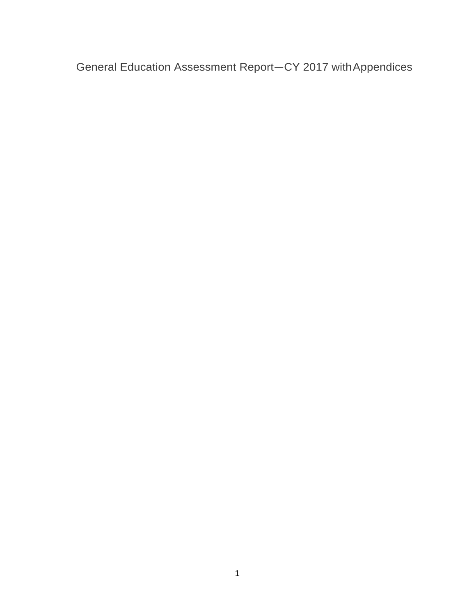General Education Assessment Report—CY 2017 withAppendices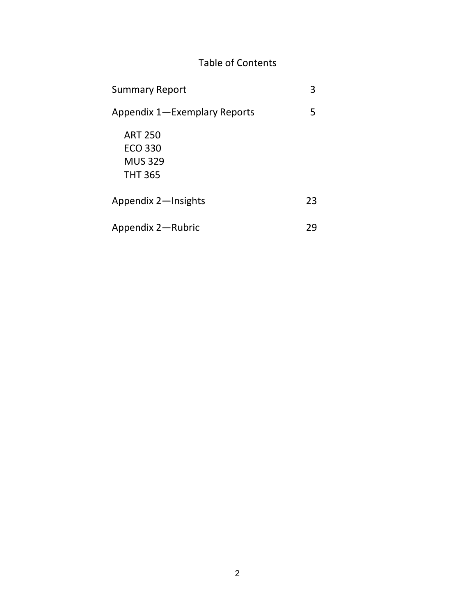# Table of Contents

| <b>Summary Report</b>                                         | З  |
|---------------------------------------------------------------|----|
| Appendix 1—Exemplary Reports                                  | 5  |
| <b>ART 250</b><br>ECO 330<br><b>MUS 329</b><br><b>THT 365</b> |    |
| Appendix 2-Insights                                           | 23 |
| Appendix 2—Rubric                                             |    |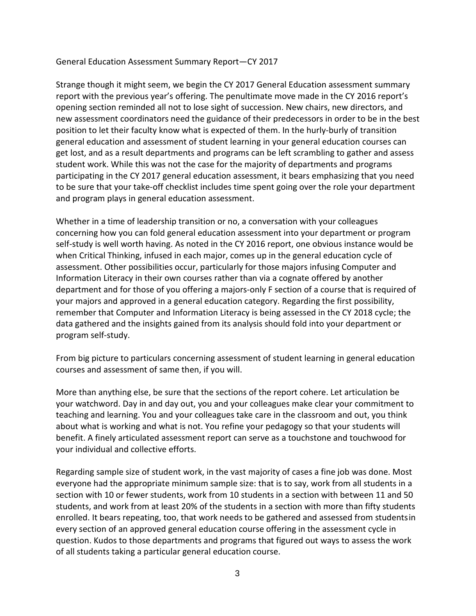### General Education Assessment Summary Report—CY 2017

Strange though it might seem, we begin the CY 2017 General Education assessment summary report with the previous year's offering. The penultimate move made in the CY 2016 report's opening section reminded all not to lose sight of succession. New chairs, new directors, and new assessment coordinators need the guidance of their predecessors in order to be in the best position to let their faculty know what is expected of them. In the hurly-burly of transition general education and assessment of student learning in your general education courses can get lost, and as a result departments and programs can be left scrambling to gather and assess student work. While this was not the case for the majority of departments and programs participating in the CY 2017 general education assessment, it bears emphasizing that you need to be sure that your take-off checklist includes time spent going over the role your department and program plays in general education assessment.

Whether in a time of leadership transition or no, a conversation with your colleagues concerning how you can fold general education assessment into your department or program self-study is well worth having. As noted in the CY 2016 report, one obvious instance would be when Critical Thinking, infused in each major, comes up in the general education cycle of assessment. Other possibilities occur, particularly for those majors infusing Computer and Information Literacy in their own courses rather than via a cognate offered by another department and for those of you offering a majors-only F section of a course that is required of your majors and approved in a general education category. Regarding the first possibility, remember that Computer and Information Literacy is being assessed in the CY 2018 cycle; the data gathered and the insights gained from its analysis should fold into your department or program self-study.

From big picture to particulars concerning assessment of student learning in general education courses and assessment of same then, if you will.

More than anything else, be sure that the sections of the report cohere. Let articulation be your watchword. Day in and day out, you and your colleagues make clear your commitment to teaching and learning. You and your colleagues take care in the classroom and out, you think about what is working and what is not. You refine your pedagogy so that your students will benefit. A finely articulated assessment report can serve as a touchstone and touchwood for your individual and collective efforts.

Regarding sample size of student work, in the vast majority of cases a fine job was done. Most everyone had the appropriate minimum sample size: that is to say, work from all students in a section with 10 or fewer students, work from 10 students in a section with between 11 and 50 students, and work from at least 20% of the students in a section with more than fifty students enrolled. It bears repeating, too, that work needs to be gathered and assessed from studentsin every section of an approved general education course offering in the assessment cycle in question. Kudos to those departments and programs that figured out ways to assess the work of all students taking a particular general education course.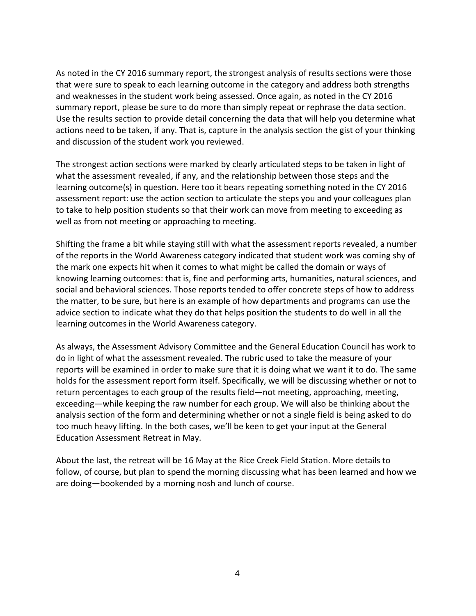As noted in the CY 2016 summary report, the strongest analysis of results sections were those that were sure to speak to each learning outcome in the category and address both strengths and weaknesses in the student work being assessed. Once again, as noted in the CY 2016 summary report, please be sure to do more than simply repeat or rephrase the data section. Use the results section to provide detail concerning the data that will help you determine what actions need to be taken, if any. That is, capture in the analysis section the gist of your thinking and discussion of the student work you reviewed.

The strongest action sections were marked by clearly articulated steps to be taken in light of what the assessment revealed, if any, and the relationship between those steps and the learning outcome(s) in question. Here too it bears repeating something noted in the CY 2016 assessment report: use the action section to articulate the steps you and your colleagues plan to take to help position students so that their work can move from meeting to exceeding as well as from not meeting or approaching to meeting.

Shifting the frame a bit while staying still with what the assessment reports revealed, a number of the reports in the World Awareness category indicated that student work was coming shy of the mark one expects hit when it comes to what might be called the domain or ways of knowing learning outcomes: that is, fine and performing arts, humanities, natural sciences, and social and behavioral sciences. Those reports tended to offer concrete steps of how to address the matter, to be sure, but here is an example of how departments and programs can use the advice section to indicate what they do that helps position the students to do well in all the learning outcomes in the World Awareness category.

As always, the Assessment Advisory Committee and the General Education Council has work to do in light of what the assessment revealed. The rubric used to take the measure of your reports will be examined in order to make sure that it is doing what we want it to do. The same holds for the assessment report form itself. Specifically, we will be discussing whether or not to return percentages to each group of the results field—not meeting, approaching, meeting, exceeding—while keeping the raw number for each group. We will also be thinking about the analysis section of the form and determining whether or not a single field is being asked to do too much heavy lifting. In the both cases, we'll be keen to get your input at the General Education Assessment Retreat in May.

About the last, the retreat will be 16 May at the Rice Creek Field Station. More details to follow, of course, but plan to spend the morning discussing what has been learned and how we are doing—bookended by a morning nosh and lunch of course.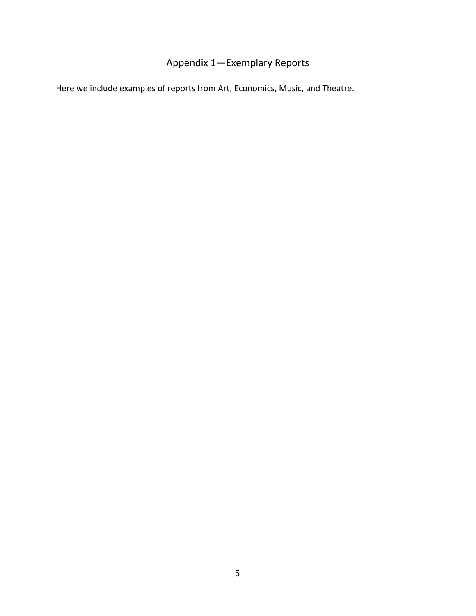# Appendix 1—Exemplary Reports

<span id="page-4-0"></span>Here we include examples of reports from Art, Economics, Music, and Theatre.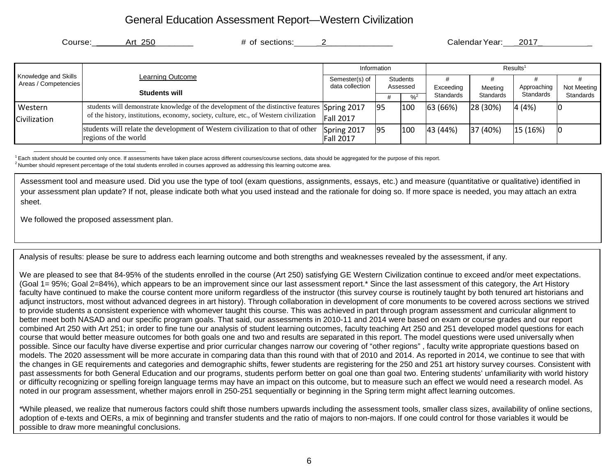# General Education Assessment Report—Western Civilization

| Course:                                      | # of sections:<br>Art 250                                                                             |                                 |             |                 |                      | Calendar Year: 2017 |                      |           |
|----------------------------------------------|-------------------------------------------------------------------------------------------------------|---------------------------------|-------------|-----------------|----------------------|---------------------|----------------------|-----------|
|                                              |                                                                                                       |                                 | Information |                 |                      |                     | Results <sup>1</sup> |           |
| Knowledge and Skills<br>Areas / Competencies | <b>Learning Outcome</b>                                                                               | Semester(s) of                  |             | <b>Students</b> |                      |                     |                      |           |
|                                              | <b>Students will</b>                                                                                  | data collection                 | Assessed    |                 | Exceeding<br>Meeting | Approaching         | Not Meeting          |           |
|                                              |                                                                                                       |                                 |             | $\frac{9}{6}$   | Standards            | Standards           | Standards            | Standards |
| Western                                      | students will demonstrate knowledge of the development of the distinctive features                    | Spring 2017                     | 195         | 100             | 63 (66%)             | 28 (30%)            | 4(4%)                |           |
| Civilization                                 | of the history, institutions, economy, society, culture, etc., of Western civilization                | <b>Fall 2017</b>                |             |                 |                      |                     |                      |           |
|                                              | students will relate the development of Western civilization to that of other<br>regions of the world | Spring 2017<br><b>Fall 2017</b> | 95          | 100             | 43(44%)              | 37 (40%)            | 15 (16%)             | IC        |

<sup>1</sup> Each student should be counted only once. If assessments have taken place across different courses/course sections, data should be aggregated for the purpose of this report. <sup>2</sup> Number should represent percentage of the total students enrolled in courses approved as addressing this learning outcome area.

Assessment tool and measure used. Did you use the type of tool (exam questions, assignments, essays, etc.) and measure (quantitative or qualitative) identified in your assessment plan update? If not, please indicate both what you used instead and the rationale for doing so. If more space is needed, you may attach an extra sheet.

We followed the proposed assessment plan.

Analysis of results: please be sure to address each learning outcome and both strengths and weaknesses revealed by the assessment, if any.

We are pleased to see that 84-95% of the students enrolled in the course (Art 250) satisfying GE Western Civilization continue to exceed and/or meet expectations. (Goal 1= 95%; Goal 2=84%), which appears to be an improvement since our last assessment report.\* Since the last assessment of this category, the Art History faculty have continued to make the course content more uniform regardless of the instructor (this survey course is routinely taught by both tenured art historians and adjunct instructors, most without advanced degrees in art history). Through collaboration in development of core monuments to be covered across sections we strived to provide students a consistent experience with whomever taught this course. This was achieved in part through program assessment and curricular alignment to better meet both NASAD and our specific program goals. That said, our assessments in 2010-11 and 2014 were based on exam or course grades and our report combined Art 250 with Art 251; in order to fine tune our analysis of student learning outcomes, faculty teaching Art 250 and 251 developed model questions for each course that would better measure outcomes for both goals one and two and results are separated in this report. The model questions were used universally when possible. Since our faculty have diverse expertise and prior curricular changes narrow our covering of "other regions" , faculty write appropriate questions based on models. The 2020 assessment will be more accurate in comparing data than this round with that of 2010 and 2014. As reported in 2014, we continue to see that with the changes in GE requirements and categories and demographic shifts, fewer students are registering for the 250 and 251 art history survey courses. Consistent with past assessments for both General Education and our programs, students perform better on goal one than goal two. Entering students' unfamiliarity with world history or difficulty recognizing or spelling foreign language terms may have an impact on this outcome, but to measure such an effect we would need a research model. As noted in our program assessment, whether majors enroll in 250-251 sequentially or beginning in the Spring term might affect learning outcomes.

\*While pleased, we realize that numerous factors could shift those numbers upwards including the assessment tools, smaller class sizes, availability of online sections, adoption of e-texts and OERs, a mix of beginning and transfer students and the ratio of majors to non-majors. If one could control for those variables it would be possible to draw more meaningful conclusions.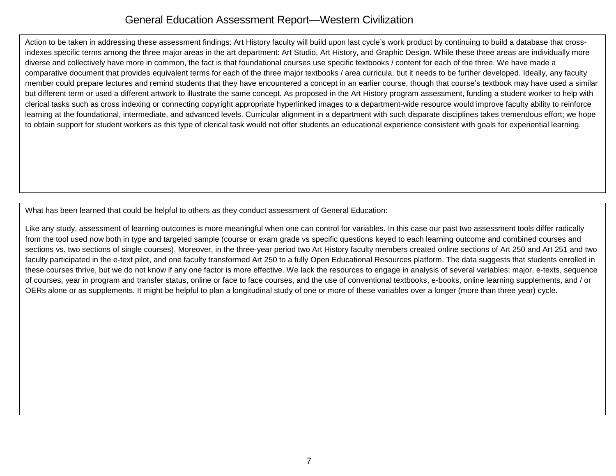# General Education Assessment Report—Western Civilization

Action to be taken in addressing these assessment findings: Art History faculty will build upon last cycle's work product by continuing to build a database that crossindexes specific terms among the three major areas in the art department: Art Studio, Art History, and Graphic Design. While these three areas are individually more diverse and collectively have more in common, the fact is that foundational courses use specific textbooks / content for each of the three. We have made a comparative document that provides equivalent terms for each of the three major textbooks / area curricula, but it needs to be further developed. Ideally, any faculty member could prepare lectures and remind students that they have encountered a concept in an earlier course, though that course's textbook may have used a similar but different term or used a different artwork to illustrate the same concept. As proposed in the Art History program assessment, funding a student worker to help with clerical tasks such as cross indexing or connecting copyright appropriate hyperlinked images to a department-wide resource would improve faculty ability to reinforce learning at the foundational, intermediate, and advanced levels. Curricular alignment in a department with such disparate disciplines takes tremendous effort; we hope to obtain support for student workers as this type of clerical task would not offer students an educational experience consistent with goals for experiential learning.

What has been learned that could be helpful to others as they conduct assessment of General Education:

Like any study, assessment of learning outcomes is more meaningful when one can control for variables. In this case our past two assessment tools differ radically from the tool used now both in type and targeted sample (course or exam grade vs specific questions keyed to each learning outcome and combined courses and sections vs. two sections of single courses). Moreover, in the three-year period two Art History faculty members created online sections of Art 250 and Art 251 and two faculty participated in the e-text pilot, and one faculty transformed Art 250 to a fully Open Educational Resources platform. The data suggests that students enrolled in these courses thrive, but we do not know if any one factor is more effective. We lack the resources to engage in analysis of several variables: major, e-texts, sequence of courses, year in program and transfer status, online or face to face courses, and the use of conventional textbooks, e-books, online learning supplements, and / or OERs alone or as supplements. It might be helpful to plan a longitudinal study of one or more of these variables over a longer (more than three year) cycle.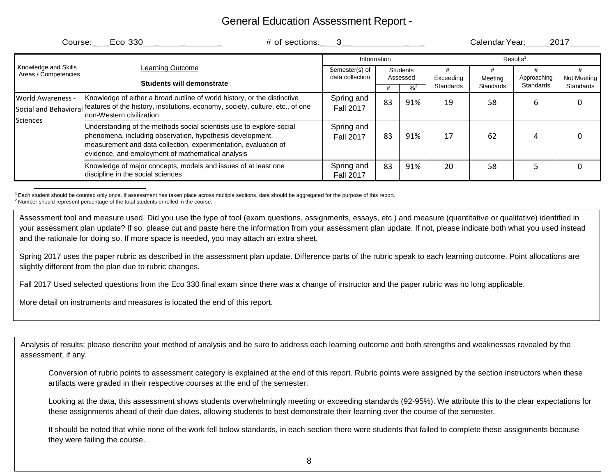| Course: Eco 330<br>$\#$ of sections: 3<br>Calendar Year:<br>2017 |                                                                                                                                                                                                                                                           |                                   |                      |                            |                  |                  |                      |             |
|------------------------------------------------------------------|-----------------------------------------------------------------------------------------------------------------------------------------------------------------------------------------------------------------------------------------------------------|-----------------------------------|----------------------|----------------------------|------------------|------------------|----------------------|-------------|
|                                                                  |                                                                                                                                                                                                                                                           |                                   | Information          |                            |                  |                  | Results <sup>1</sup> |             |
| Knowledge and Skills<br>Areas / Competencies                     | Learning Outcome<br>Students will demonstrate                                                                                                                                                                                                             | Semester(s) of<br>data collection | Students<br>Assessed |                            | Exceeding        | Meeting          | Approaching          | Not Meeting |
|                                                                  |                                                                                                                                                                                                                                                           |                                   |                      | $\frac{9}{6}$ <sup>2</sup> | <b>Standards</b> | <b>Standards</b> | Standards            | Standards   |
| World Awareness -<br>Sciences                                    | Knowledge of either a broad outline of world history, or the distinctive<br>Social and Behavioral features of the history, institutions, economy, society, culture, etc., of one<br>Inon-Western civilization                                             | Spring and<br><b>Fall 2017</b>    | 83                   | 91%                        | 19               | 58               | 6                    |             |
|                                                                  | Understanding of the methods social scientists use to explore social<br>phenomena, including observation, hypothesis development,<br>measurement and data collection, experimentation, evaluation of<br>evidence, and employment of mathematical analysis | Spring and<br><b>Fall 2017</b>    | 83                   | 91%                        | 17               | 62               | 4                    |             |
|                                                                  | Knowledge of major concepts, models and issues of at least one<br>discipline in the social sciences                                                                                                                                                       | Spring and<br><b>Fall 2017</b>    | 83                   | 91%                        | 20               | 58               |                      |             |

 $^1$  Each student should be counted only once. If assessment has taken place across multiple sections, data should be aggregated for the purpose of this report.<br><sup>2</sup> Number should represent percentage of the total students

Assessment tool and measure used. Did you use the type of tool (exam questions, assignments, essays, etc.) and measure (quantitative or qualitative) identified in your assessment plan update? If so, please cut and paste here the information from your assessment plan update. If not, please indicate both what you used instead and the rationale for doing so. If more space is needed, you may attach an extra sheet.

Spring 2017 uses the paper rubric as described in the assessment plan update. Difference parts of the rubric speak to each learning outcome. Point allocations are slightly different from the plan due to rubric changes.

Fall 2017 Used selected questions from the Eco 330 final exam since there was a change of instructor and the paper rubric was no long applicable.

More detail on instruments and measures is located the end of this report.

Analysis of results: please describe your method of analysis and be sure to address each learning outcome and both strengths and weaknesses revealed by the assessment, if any.

Conversion of rubric points to assessment category is explained at the end of this report. Rubric points were assigned by the section instructors when these artifacts were graded in their respective courses at the end of the semester.

Looking at the data, this assessment shows students overwhelmingly meeting or exceeding standards (92-95%). We attribute this to the clear expectations for these assignments ahead of their due dates, allowing students to best demonstrate their learning over the course of the semester.

It should be noted that while none of the work fell below standards, in each section there were students that failed to complete these assignments because they were failing the course.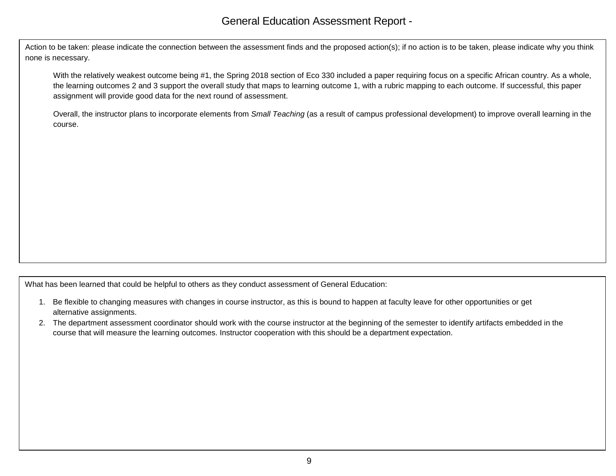Action to be taken: please indicate the connection between the assessment finds and the proposed action(s); if no action is to be taken, please indicate why you think none is necessary.

With the relatively weakest outcome being #1, the Spring 2018 section of Eco 330 included a paper requiring focus on a specific African country. As a whole, the learning outcomes 2 and 3 support the overall study that maps to learning outcome 1, with a rubric mapping to each outcome. If successful, this paper assignment will provide good data for the next round of assessment.

Overall, the instructor plans to incorporate elements from *Small Teaching* (as a result of campus professional development) to improve overall learning in the course.

What has been learned that could be helpful to others as they conduct assessment of General Education:

- 1. Be flexible to changing measures with changes in course instructor, as this is bound to happen at faculty leave for other opportunities or get alternative assignments.
- 2. The department assessment coordinator should work with the course instructor at the beginning of the semester to identify artifacts embedded in the course that will measure the learning outcomes. Instructor cooperation with this should be a department expectation.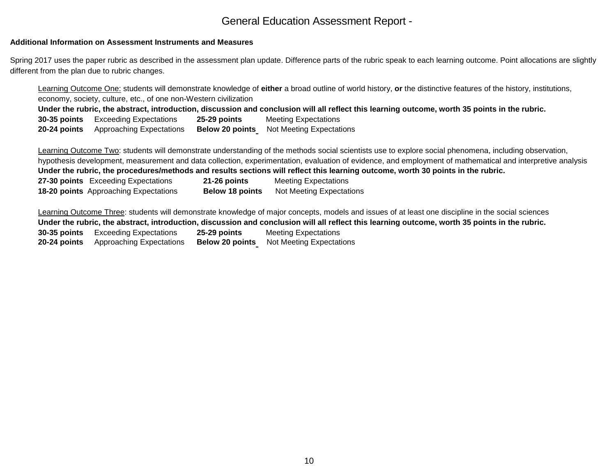#### **Additional Information on Assessment Instruments and Measures**

Spring 2017 uses the paper rubric as described in the assessment plan update. Difference parts of the rubric speak to each learning outcome. Point allocations are slightly different from the plan due to rubric changes.

Learning Outcome One: students will demonstrate knowledge of **either** a broad outline of world history, **or** the distinctive features of the history, institutions, economy, society, culture, etc., of one non-Western civilization **Under the rubric, the abstract, introduction, discussion and conclusion will all reflect this learning outcome, worth 35 points in the rubric. 30-35 points** Exceeding Expectations **25-29 points** Meeting Expectations **20-24 points** Approaching Expectations **Below 20 points** Not Meeting Expectations

Learning Outcome Two: students will demonstrate understanding of the methods social scientists use to explore social phenomena, including observation, hypothesis development, measurement and data collection, experimentation, evaluation of evidence, and employment of mathematical and interpretive analysis **Under the rubric, the procedures/methods and results sections will reflect this learning outcome, worth 30 points in the rubric. 27-30 points** Exceeding Expectations **21-26 points** Meeting Expectations **18-20 points** Approaching Expectations **Below 18 points** Not Meeting Expectations

Learning Outcome Three: students will demonstrate knowledge of major concepts, models and issues of at least one discipline in the social sciences **Under the rubric, the abstract, introduction, discussion and conclusion will all reflect this learning outcome, worth 35 points in the rubric. 30-35 points** Exceeding Expectations **25-29 points** Meeting Expectations **20-24 points** Approaching Expectations **Below 20 points** Not Meeting Expectations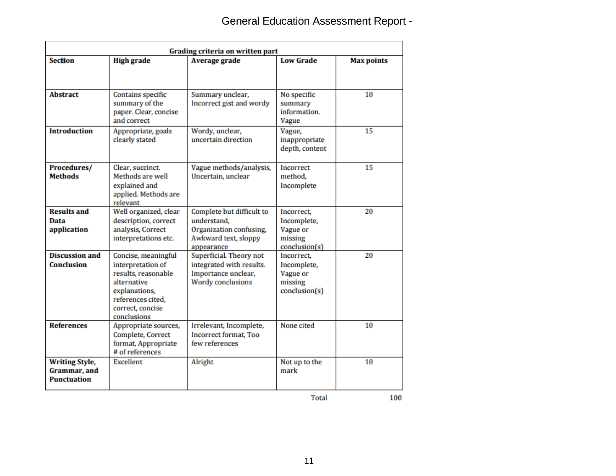| Grading criteria on written part                                    |                                                                                                                                                         |                                                                                                           |                                                                   |                   |  |  |
|---------------------------------------------------------------------|---------------------------------------------------------------------------------------------------------------------------------------------------------|-----------------------------------------------------------------------------------------------------------|-------------------------------------------------------------------|-------------------|--|--|
| Section                                                             | <b>High grade</b>                                                                                                                                       | <b>Average grade</b>                                                                                      | <b>Low Grade</b>                                                  | <b>Max points</b> |  |  |
| <b>Abstract</b>                                                     | Contains specific<br>summary of the<br>paper. Clear, concise<br>and correct                                                                             | Summary unclear,<br>Incorrect gist and wordy                                                              | No specific<br>summary<br>information.<br><b>Vague</b>            | 10                |  |  |
| <b>Introduction</b>                                                 | Appropriate, goals<br>clearly stated                                                                                                                    | Wordy, unclear,<br>uncertain direction                                                                    | Vague,<br>inappropriate<br>depth, content                         | 15                |  |  |
| Procedures/<br><b>Methods</b>                                       | Clear, succinct.<br>Methods are well<br>explained and<br>applied. Methods are<br>relevant                                                               | Vague methods/analysis,<br>Uncertain, unclear                                                             | <b>Incorrect</b><br>method.<br>Incomplete                         | 15                |  |  |
| <b>Results and</b><br>Data<br>application                           | Well organized, clear<br>description, correct<br>analysis, Correct<br>interpretations etc.                                                              | Complete but difficult to<br>understand.<br>Organization confusing,<br>Awkward text, sloppy<br>appearance | Incorrect,<br>Incomplete,<br>Vague or<br>missing<br>conclusion(s) | 20                |  |  |
| <b>Discussion and</b><br><b>Conclusion</b>                          | Concise, meaningful<br>interpretation of<br>results, reasonable<br>alternative<br>explanations,<br>references cited,<br>correct, concise<br>conclusions | Superficial. Theory not<br>integrated with results.<br>Importance unclear,<br>Wordy conclusions           | Incorrect.<br>Incomplete,<br>Vague or<br>missing<br>conclusion(s) | 20                |  |  |
| <b>References</b>                                                   | Appropriate sources,<br>Complete, Correct<br>format, Appropriate<br># of references                                                                     | Irrelevant, Incomplete,<br>Incorrect format, Too<br>few references                                        | None cited                                                        | 10                |  |  |
| <b>Writing Style,</b><br><b>Grammar</b> , and<br><b>Punctuation</b> | <b>Excellent</b>                                                                                                                                        | Alright                                                                                                   | Not up to the<br>mark                                             | 10                |  |  |

100

Total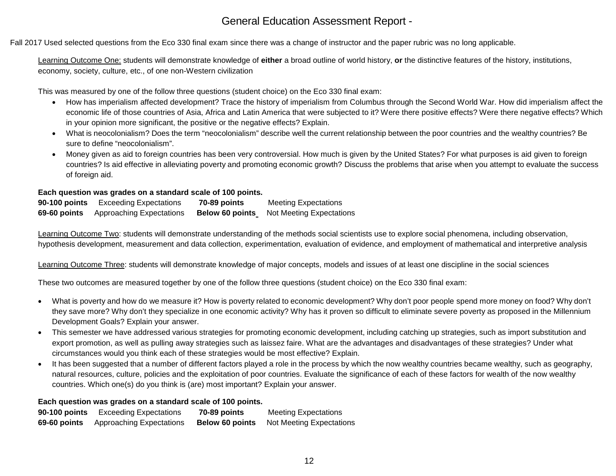Fall 2017 Used selected questions from the Eco 330 final exam since there was a change of instructor and the paper rubric was no long applicable.

Learning Outcome One: students will demonstrate knowledge of **either** a broad outline of world history, **or** the distinctive features of the history, institutions, economy, society, culture, etc., of one non-Western civilization

This was measured by one of the follow three questions (student choice) on the Eco 330 final exam:

- How has imperialism affected development? Trace the history of imperialism from Columbus through the Second World War. How did imperialism affect the economic life of those countries of Asia, Africa and Latin America that were subjected to it? Were there positive effects? Were there negative effects? Which in your opinion more significant, the positive or the negative effects? Explain.
- What is neocolonialism? Does the term "neocolonialism" describe well the current relationship between the poor countries and the wealthy countries? Be sure to define "neocolonialism".
- Money given as aid to foreign countries has been very controversial. How much is given by the United States? For what purposes is aid given to foreign countries? Is aid effective in alleviating poverty and promoting economic growth? Discuss the problems that arise when you attempt to evaluate the success of foreign aid.

### **Each question was grades on a standard scale of 100 points.**

**90-100 points** Exceeding Expectations **70-89 points** Meeting Expectations **69-60 points** Approaching Expectations **Below 60 points** Not Meeting Expectations

Learning Outcome Two: students will demonstrate understanding of the methods social scientists use to explore social phenomena, including observation, hypothesis development, measurement and data collection, experimentation, evaluation of evidence, and employment of mathematical and interpretive analysis

Learning Outcome Three: students will demonstrate knowledge of major concepts, models and issues of at least one discipline in the social sciences

These two outcomes are measured together by one of the follow three questions (student choice) on the Eco 330 final exam:

- What is poverty and how do we measure it? How is poverty related to economic development? Why don't poor people spend more money on food? Why don't they save more? Why don't they specialize in one economic activity? Why has it proven so difficult to eliminate severe poverty as proposed in the Millennium Development Goals? Explain your answer.
- This semester we have addressed various strategies for promoting economic development, including catching up strategies, such as import substitution and export promotion, as well as pulling away strategies such as laissez faire. What are the advantages and disadvantages of these strategies? Under what circumstances would you think each of these strategies would be most effective? Explain.
- It has been suggested that a number of different factors played a role in the process by which the now wealthy countries became wealthy, such as geography, natural resources, culture, policies and the exploitation of poor countries. Evaluate the significance of each of these factors for wealth of the now wealthy countries. Which one(s) do you think is (are) most important? Explain your answer.

### **Each question was grades on a standard scale of 100 points.**

| 90-100 points | <b>Exceeding Expectations</b> | 70-89 points           | <b>Meeting Expectations</b>     |
|---------------|-------------------------------|------------------------|---------------------------------|
| 69-60 points  | Approaching Expectations      | <b>Below 60 points</b> | <b>Not Meeting Expectations</b> |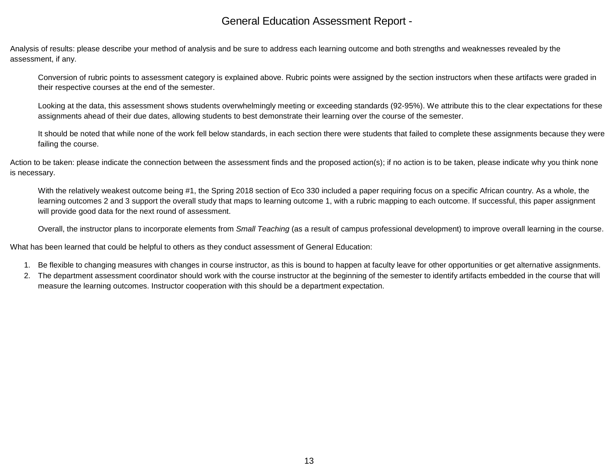Analysis of results: please describe your method of analysis and be sure to address each learning outcome and both strengths and weaknesses revealed by the assessment, if any.

Conversion of rubric points to assessment category is explained above. Rubric points were assigned by the section instructors when these artifacts were graded in their respective courses at the end of the semester.

Looking at the data, this assessment shows students overwhelmingly meeting or exceeding standards (92-95%). We attribute this to the clear expectations for these assignments ahead of their due dates, allowing students to best demonstrate their learning over the course of the semester.

It should be noted that while none of the work fell below standards, in each section there were students that failed to complete these assignments because they were failing the course.

Action to be taken: please indicate the connection between the assessment finds and the proposed action(s); if no action is to be taken, please indicate why you think none is necessary.

With the relatively weakest outcome being #1, the Spring 2018 section of Eco 330 included a paper requiring focus on a specific African country. As a whole, the learning outcomes 2 and 3 support the overall study that maps to learning outcome 1, with a rubric mapping to each outcome. If successful, this paper assignment will provide good data for the next round of assessment.

Overall, the instructor plans to incorporate elements from *Small Teaching* (as a result of campus professional development) to improve overall learning in the course.

What has been learned that could be helpful to others as they conduct assessment of General Education:

- 1. Be flexible to changing measures with changes in course instructor, as this is bound to happen at faculty leave for other opportunities or get alternative assignments.
- 2. The department assessment coordinator should work with the course instructor at the beginning of the semester to identify artifacts embedded in the course that will measure the learning outcomes. Instructor cooperation with this should be a department expectation.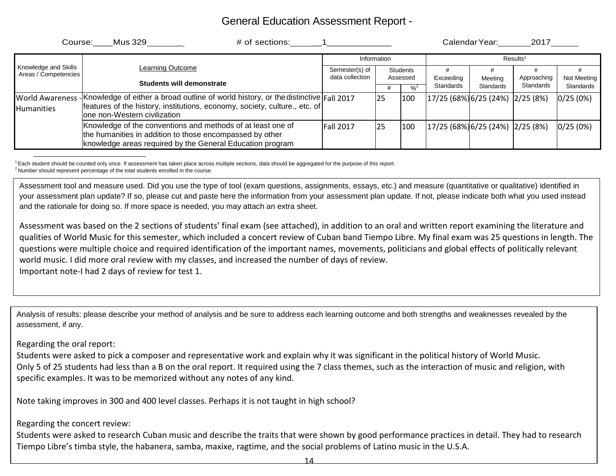| Course:                                                          | # of sections:<br>Mus 329                                                                                                                                                                                |                                   |                             |                            |                                                                                                                                                                                   | Calendar Year: | 2017        |             |
|------------------------------------------------------------------|----------------------------------------------------------------------------------------------------------------------------------------------------------------------------------------------------------|-----------------------------------|-----------------------------|----------------------------|-----------------------------------------------------------------------------------------------------------------------------------------------------------------------------------|----------------|-------------|-------------|
|                                                                  |                                                                                                                                                                                                          | Information                       |                             |                            | Results <sup>1</sup>                                                                                                                                                              |                |             |             |
| Knowledge and Skills<br>Learning Outcome<br>Areas / Competencies |                                                                                                                                                                                                          | Semester(s) of<br>data collection | <b>Students</b><br>Assessed |                            | Exceeding<br>Meetina                                                                                                                                                              |                | Approaching | Not Meeting |
|                                                                  | Students will demonstrate                                                                                                                                                                                |                                   |                             | $\frac{9}{6}$ <sup>2</sup> | Standards                                                                                                                                                                         | Standards      | Standards   | Standards   |
| <b>World Awareness</b><br><b>Humanities</b>                      | Knowledge of either a broad outline of world history, or the distinctive $\vert$ Fall 2017<br>features of the history, institutions, economy, society, culture., etc. of<br>one non-Western civilization |                                   | 25                          | 100                        | $\left  \frac{17}{25} \right  \left( \frac{68}{9} \right) \left  \frac{6}{25} \right  \left( \frac{24}{9} \right) \left  \frac{2}{25} \right  \left( \frac{8}{9} \right) \right $ |                |             | 0/25(0%)    |
|                                                                  | Knowledge of the conventions and methods of at least one of<br>the humanities in addition to those encompassed by other<br>knowledge areas required by the General Education program                     | <b>Fall 2017</b>                  | 25                          | 100                        | $\left  \frac{17}{25} \right  \left( 68\% \right) \left  \frac{6}{25} \right  \left( 24\% \right) \left  \frac{2}{25} \right  \left( 8\% \right)$                                 |                |             | 0/25(0%)    |

 $^1$  Each student should be counted only once. If assessment has taken place across multiple sections, data should be aggregated for the purpose of this report.<br><sup>2</sup> Number should represent percentage of the total students

Assessment tool and measure used. Did you use the type of tool (exam questions, assignments, essays, etc.) and measure (quantitative or qualitative) identified in your assessment plan update? If so, please cut and paste here the information from your assessment plan update. If not, please indicate both what you used instead and the rationale for doing so. If more space is needed, you may attach an extra sheet.

Assessment was based on the 2 sections of students' final exam (see attached), in addition to an oral and written report examining the literature and qualities of World Music for this semester, which included a concert review of Cuban band Tiempo Libre. My final exam was 25 questions in length. The questions were multiple choice and required identification of the important names, movements, politicians and global effects of politically relevant world music. I did more oral review with my classes, and increased the number of days of review. Important note-I had 2 days of review for test 1.

Analysis of results: please describe your method of analysis and be sure to address each learning outcome and both strengths and weaknesses revealed by the assessment, if any.

### Regarding the oral report:

Students were asked to pick a composer and representative work and explain why it was significant in the political history of World Music. Only 5 of 25 students had less than a B on the oral report. It required using the 7 class themes, such as the interaction of music and religion, with specific examples. It was to be memorized without any notes of any kind.

Note taking improves in 300 and 400 level classes. Perhaps it is not taught in high school?

### Regarding the concert review:

Students were asked to research Cuban music and describe the traits that were shown by good performance practices in detail. They had to research Tiempo Libre's timba style, the habanera, samba, maxixe, ragtime, and the social problems of Latino music in the U.S.A.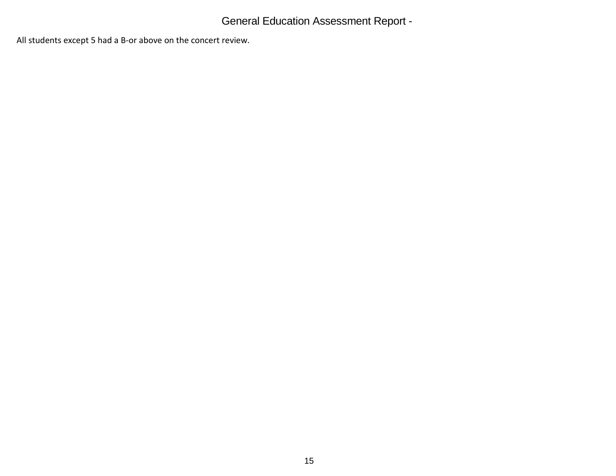All students except 5 had a B-or above on the concert review.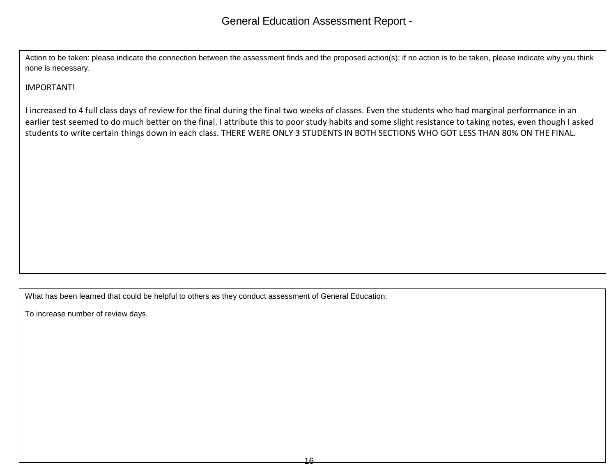Action to be taken: please indicate the connection between the assessment finds and the proposed action(s); if no action is to be taken, please indicate why you think none is necessary.

## IMPORTANT!

I increased to 4 full class days of review for the final during the final two weeks of classes. Even the students who had marginal performance in an earlier test seemed to do much better on the final. I attribute this to poor study habits and some slight resistance to taking notes, even though I asked students to write certain things down in each class. THERE WERE ONLY 3 STUDENTS IN BOTH SECTIONS WHO GOT LESS THAN 80% ON THE FINAL.

What has been learned that could be helpful to others as they conduct assessment of General Education:

To increase number of review days.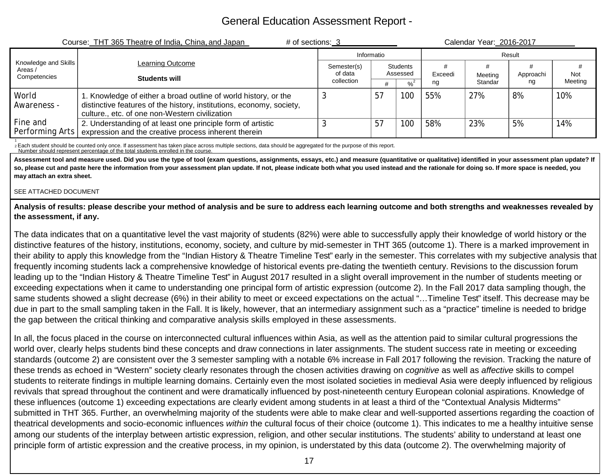| Course: THT 365 Theatre of India, China, and Japan | # of sections: 3<br>Calendar Year: 2016-2017                                                                                                                                              |                        |    |                             |         |         |           |         |
|----------------------------------------------------|-------------------------------------------------------------------------------------------------------------------------------------------------------------------------------------------|------------------------|----|-----------------------------|---------|---------|-----------|---------|
|                                                    |                                                                                                                                                                                           | Informatio             |    |                             | Result  |         |           |         |
| Knowledge and Skills<br>Areas /<br>Competencies    | <b>Learning Outcome</b><br>Students will                                                                                                                                                  | Semester(s)<br>of data |    | <b>Students</b><br>Assessed | Exceedi | Meeting | Approachi | Not     |
|                                                    |                                                                                                                                                                                           | collection             |    |                             | ng      | Standar | ng        | Meeting |
| World<br>Awareness -                               | 1. Knowledge of either a broad outline of world history, or the<br>distinctive features of the history, institutions, economy, society,<br>culture., etc. of one non-Western civilization |                        | 57 | 100                         | 55%     | 27%     | 8%        | 10%     |
| Fine and<br>Performing Arts                        | 2. Understanding of at least one principle form of artistic<br>expression and the creative process inherent therein                                                                       |                        | 57 | 100                         | 58%     | 23%     | 5%        | 14%     |

1 2 Each student should be counted only once. If assessment has taken place across multiple sections, data should be aggregated for the purpose of this report.

Number should represent percentage of the total students enrolled in the course.

Assessment tool and measure used. Did you use the type of tool (exam questions, assignments, essays, etc.) and measure (quantitative or qualitative) identified in your assessment plan update? If so, please cut and paste here the information from your assessment plan update. If not, please indicate both what you used instead and the rationale for doing so. If more space is needed, you **may attach an extra sheet.**

#### SEE ATTACHED DOCUMENT

**Analysis of results: please describe your method of analysis and be sure to address each learning outcome and both strengths and weaknesses revealed by the assessment, if any.**

The data indicates that on a quantitative level the vast majority of students (82%) were able to successfully apply their knowledge of world history or the distinctive features of the history, institutions, economy, society, and culture by mid-semester in THT 365 (outcome 1). There is a marked improvement in their ability to apply this knowledge from the "Indian History & Theatre Timeline Test" early in the semester. This correlates with my subjective analysis that frequently incoming students lack a comprehensive knowledge of historical events pre-dating the twentieth century. Revisions to the discussion forum leading up to the "Indian History & Theatre Timeline Test" in August 2017 resulted in a slight overall improvement in the number of students meeting or exceeding expectations when it came to understanding one principal form of artistic expression (outcome 2). In the Fall 2017 data sampling though, the same students showed a slight decrease (6%) in their ability to meet or exceed expectations on the actual "…Timeline Test" itself. This decrease may be due in part to the small sampling taken in the Fall. It is likely, however, that an intermediary assignment such as a "practice" timeline is needed to bridge the gap between the critical thinking and comparative analysis skills employed in these assessments.

In all, the focus placed in the course on interconnected cultural influences within Asia, as well as the attention paid to similar cultural progressions the world over, clearly helps students bind these concepts and draw connections in later assignments. The student success rate in meeting or exceeding standards (outcome 2) are consistent over the 3 semester sampling with a notable 6% increase in Fall 2017 following the revision. Tracking the nature of these trends as echoed in "Western" society clearly resonates through the chosen activities drawing on *cognitive* as well as *affective* skills to compel students to reiterate findings in multiple learning domains. Certainly even the most isolated societies in medieval Asia were deeply influenced by religious revivals that spread throughout the continent and were dramatically influenced by post-nineteenth century European colonial aspirations. Knowledge of these influences (outcome 1) exceeding expectations are clearly evident among students in at least a third of the "Contextual Analysis Midterms" submitted in THT 365. Further, an overwhelming majority of the students were able to make clear and well-supported assertions regarding the coaction of theatrical developments and socio-economic influences *within* the cultural focus of their choice (outcome 1). This indicates to me a healthy intuitive sense among our students of the interplay between artistic expression, religion, and other secular institutions. The students' ability to understand at least one principle form of artistic expression and the creative process, in my opinion, is understated by this data (outcome 2). The overwhelming majority of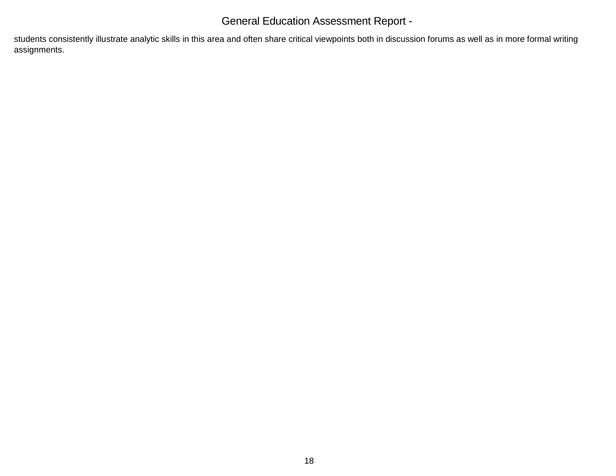students consistently illustrate analytic skills in this area and often share critical viewpoints both in discussion forums as well as in more formal writing assignments.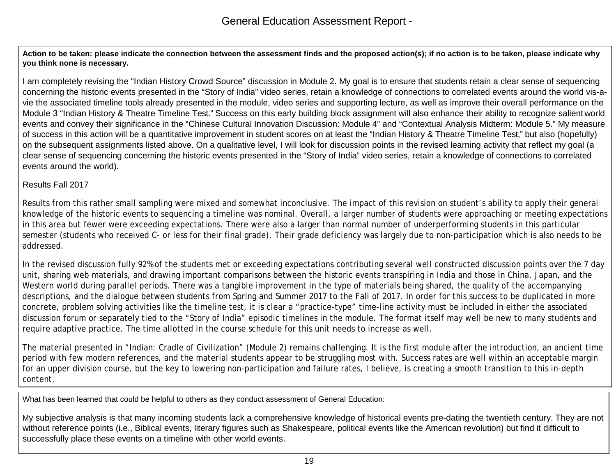**Action to be taken: please indicate the connection between the assessment finds and the proposed action(s); if no action is to be taken, please indicate why you think none is necessary.**

I am completely revising the "Indian History Crowd Source" discussion in Module 2. My goal is to ensure that students retain a clear sense of sequencing concerning the historic events presented in the "Story of India" video series, retain a knowledge of connections to correlated events around the world vis-avie the associated timeline tools already presented in the module, video series and supporting lecture, as well as improve their overall performance on the Module 3 "Indian History & Theatre Timeline Test." Success on this early building block assignment will also enhance their ability to recognize salient world events and convey their significance in the "Chinese Cultural Innovation Discussion: Module 4" and "Contextual Analysis Midterm: Module 5." My measure of success in this action will be a quantitative improvement in student scores on at least the "Indian History & Theatre Timeline Test," but also (hopefully) on the subsequent assignments listed above. On a qualitative level, I will look for discussion points in the revised learning activity that reflect my goal (a clear sense of sequencing concerning the historic events presented in the "Story of India" video series, retain a knowledge of connections to correlated events around the world).

### Results Fall 2017

Results from this rather small sampling were mixed and somewhat inconclusive. The impact of this revision on student's ability to apply their general knowledge of the historic events to sequencing a timeline was nominal. Overall, a larger number of students were approaching or meeting expectations in this area but fewer were exceeding expectations. There were also a larger than normal number of underperforming students in this particular semester (students who received C- or less for their final grade). Their grade deficiency was largely due to non-participation which is also needs to be addressed.

In the revised discussion fully 92% of the students met or exceeding expectations contributing several well constructed discussion points over the 7 day unit, sharing web materials, and drawing important comparisons between the historic events transpiring in India and those in China, Japan, and the Western world during parallel periods. There was a tangible improvement in the type of materials being shared, the quality of the accompanying descriptions, and the dialogue between students from Spring and Summer 2017 to the Fall of 2017. In order for this success to be duplicated in more concrete, problem solving activities like the timeline test, it is clear a "practice-type" time-line activity must be included in either the associated discussion forum or separately tied to the "Story of India" episodic timelines in the module. The format itself may well be new to many students and require adaptive practice. The time allotted in the course schedule for this unit needs to increase as well.

The material presented in "Indian: Cradle of Civilization" (Module 2) remains challenging. It is the first module after the introduction, an ancient time period with few modern references, and the material students appear to be struggling most with. Success rates are well within an acceptable margin for an upper division course, but the key to lowering non-participation and failure rates, I believe, is creating a smooth transition to this in-depth content.

What has been learned that could be helpful to others as they conduct assessment of General Education:

My subjective analysis is that many incoming students lack a comprehensive knowledge of historical events pre-dating the twentieth century. They are not without reference points (i.e., Biblical events, literary figures such as Shakespeare, political events like the American revolution) but find it difficult to successfully place these events on a timeline with other world events.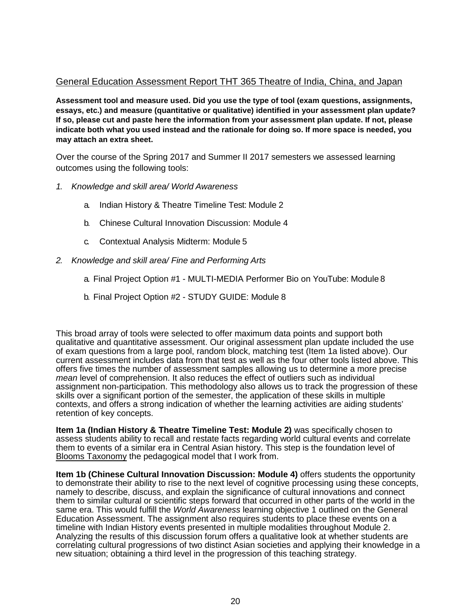### General Education Assessment Report THT 365 Theatre of India, China, and Japan

**Assessment tool and measure used. Did you use the type of tool (exam questions, assignments, essays, etc.) and measure (quantitative or qualitative) identified in your assessment plan update? If so, please cut and paste here the information from your assessment plan update. If not, please indicate both what you used instead and the rationale for doing so. If more space is needed, you may attach an extra sheet.**

Over the course of the Spring 2017 and Summer II 2017 semesters we assessed learning outcomes using the following tools:

- *1. Knowledge and skill area/ World Awareness*
	- a. Indian History & Theatre Timeline Test: Module 2
	- b. Chinese Cultural Innovation Discussion: Module 4
	- c. Contextual Analysis Midterm: Module 5
- *2. Knowledge and skill area/ Fine and Performing Arts*
	- a. Final Project Option #1 MULTI-MEDIA Performer Bio on YouTube: Module 8
	- b. Final Project Option #2 STUDY GUIDE: Module 8

This broad array of tools were selected to offer maximum data points and support both qualitative and quantitative assessment. Our original assessment plan update included the use of exam questions from a large pool, random block, matching test (Item 1a listed above). Our current assessment includes data from that test as well as the four other tools listed above. This offers five times the number of assessment samples allowing us to determine a more precise *mean level of comprehension. It also reduces the effect of outliers such as individual* assignment non-participation. This methodology also allows us to track the progression of these skills over a significant portion of the semester, the application of these skills in multiple contexts, and offers a strong indication of whether the learning activities are aiding students' retention of key concepts.

**Item 1a (Indian History & Theatre Timeline Test: Module 2)** was specifically chosen to assess students ability to recall and restate facts regarding world cultural events and correlate them to events of a similar era in Central Asian history. This step is the foundation level of Blooms Taxonomy the pedagogical model that I work from.

**Item 1b (Chinese Cultural Innovation Discussion: Module 4)** offers students the opportunity to demonstrate their ability to rise to the next level of cognitive processing using these concepts, namely to describe, discuss, and explain the significance of cultural innovations and connect them to similar cultural or scientific steps forward that occurred in other parts of the world in the same era. This would fulfill the *World Awareness* learning objective 1 outlined on the General Education Assessment. The assignment also requires students to place these events on a timeline with Indian History events presented in multiple modalities throughout Module 2. Analyzing the results of this discussion forum offers a qualitative look at whether students are correlating cultural progressions of two distinct Asian societies and applying their knowledge in a new situation; obtaining a third level in the progression of this teaching strategy.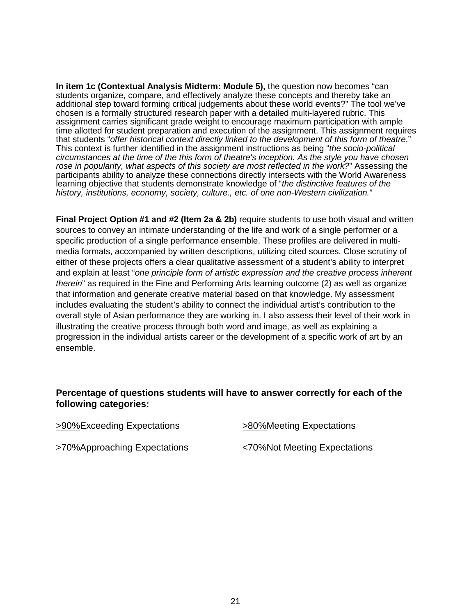**In item 1c (Contextual Analysis Midterm: Module 5),** the question now becomes "can students organize, compare, and effectively analyze these concepts and thereby take an additional step toward forming critical judgements about these world events?" The tool we've chosen is a formally structured research paper with a detailed multi-layered rubric. This assignment carries significant grade weight to encourage maximum participation with ample time allotted for student preparation and execution of the assignment. This assignment requires that students "*offer historical context directly linked to the development of this form of theatre*." This context is further identified in the assignment instructions as being "*the socio-political circumstances at the time of the this form of theatre's inception. As the style you have chosen rose in popularity, what aspects of this society are most reflected in the work?*" Assessing the participants ability to analyze these connections directly intersects with the World Awareness learning objective that students demonstrate knowledge of "*the distinctive features of the history, institutions, economy, society, culture., etc. of one non-Western civilization.*"

**Final Project Option #1 and #2 (Item 2a & 2b)** require students to use both visual and written sources to convey an intimate understanding of the life and work of a single performer or a specific production of a single performance ensemble. These profiles are delivered in multimedia formats, accompanied by written descriptions, utilizing cited sources. Close scrutiny of either of these projects offers a clear qualitative assessment of a student's ability to interpret and explain at least "*one principle form of artistic expression and the creative process inherent therein*" as required in the Fine and Performing Arts learning outcome (2) as well as organize that information and generate creative material based on that knowledge. My assessment includes evaluating the student's ability to connect the individual artist's contribution to the overall style of Asian performance they are working in. I also assess their level of their work in illustrating the creative process through both word and image, as well as explaining a progression in the individual artists career or the development of a specific work of art by an ensemble.

## **Percentage of questions students will have to answer correctly for each of the following categories:**

| >90%Exceeding Expectations   | >80%Meeting Expectations     |
|------------------------------|------------------------------|
| >70%Approaching Expectations | <70%Not Meeting Expectations |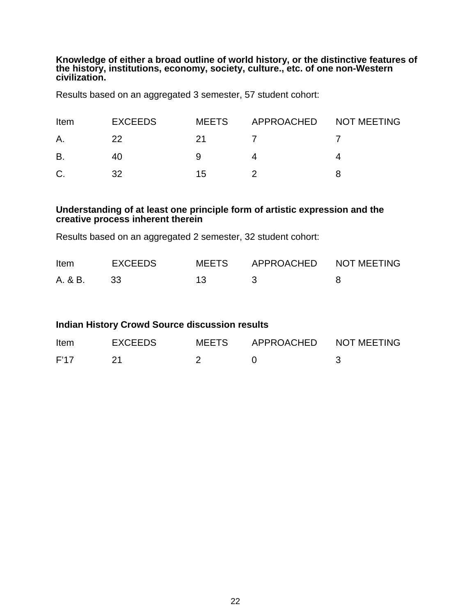**Knowledge of either a broad outline of world history, or the distinctive features of the history, institutions, economy, society, culture., etc. of one non-Western civilization.**

Results based on an aggregated 3 semester, 57 student cohort:

| Item | <b>EXCEEDS</b> | <b>MEETS</b> | APPROACHED NOT MEETING |  |
|------|----------------|--------------|------------------------|--|
| A.   | 22             | 21           |                        |  |
| B    |                |              |                        |  |
| C.   | 32             | 15           |                        |  |

## **Understanding of at least one principle form of artistic expression and the creative process inherent therein**

Results based on an aggregated 2 semester, 32 student cohort:

| <b>Item</b> | EXCEEDS | MEETS APPROACHED NOT MEETING |  |
|-------------|---------|------------------------------|--|
| A. & B.     | - 33    |                              |  |

| <b>Indian History Crowd Source discussion results</b> |  |  |  |  |
|-------------------------------------------------------|--|--|--|--|
|-------------------------------------------------------|--|--|--|--|

| <b>Item</b> | <b>EXCEEDS</b> | MEETS | APPROACHED NOT MEETING |  |
|-------------|----------------|-------|------------------------|--|
| F'17        |                |       |                        |  |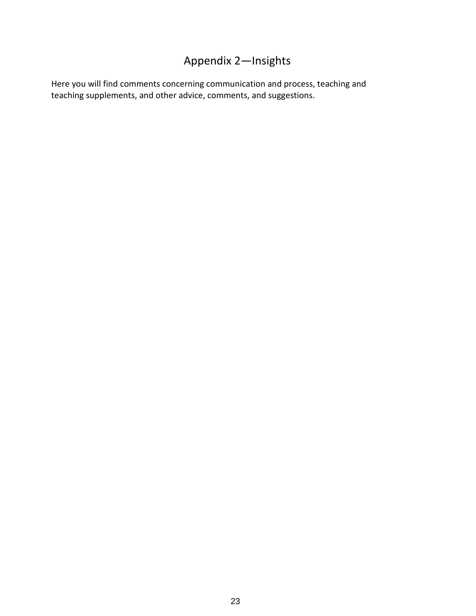# Appendix 2—Insights

Here you will find comments concerning communication and process, teaching and teaching supplements, and other advice, comments, and suggestions.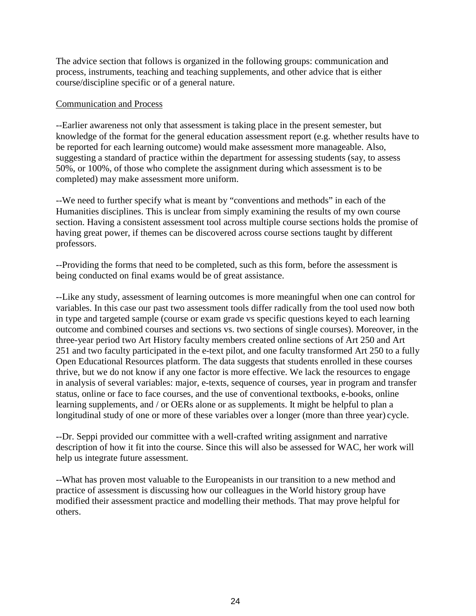The advice section that follows is organized in the following groups: communication and process, instruments, teaching and teaching supplements, and other advice that is either course/discipline specific or of a general nature.

### Communication and Process

--Earlier awareness not only that assessment is taking place in the present semester, but knowledge of the format for the general education assessment report (e.g. whether results have to be reported for each learning outcome) would make assessment more manageable. Also, suggesting a standard of practice within the department for assessing students (say, to assess 50%, or 100%, of those who complete the assignment during which assessment is to be completed) may make assessment more uniform.

--We need to further specify what is meant by "conventions and methods" in each of the Humanities disciplines. This is unclear from simply examining the results of my own course section. Having a consistent assessment tool across multiple course sections holds the promise of having great power, if themes can be discovered across course sections taught by different professors.

--Providing the forms that need to be completed, such as this form, before the assessment is being conducted on final exams would be of great assistance.

--Like any study, assessment of learning outcomes is more meaningful when one can control for variables. In this case our past two assessment tools differ radically from the tool used now both in type and targeted sample (course or exam grade vs specific questions keyed to each learning outcome and combined courses and sections vs. two sections of single courses). Moreover, in the three-year period two Art History faculty members created online sections of Art 250 and Art 251 and two faculty participated in the e-text pilot, and one faculty transformed Art 250 to a fully Open Educational Resources platform. The data suggests that students enrolled in these courses thrive, but we do not know if any one factor is more effective. We lack the resources to engage in analysis of several variables: major, e-texts, sequence of courses, year in program and transfer status, online or face to face courses, and the use of conventional textbooks, e-books, online learning supplements, and / or OERs alone or as supplements. It might be helpful to plan a longitudinal study of one or more of these variables over a longer (more than three year) cycle.

--Dr. Seppi provided our committee with a well-crafted writing assignment and narrative description of how it fit into the course. Since this will also be assessed for WAC, her work will help us integrate future assessment.

--What has proven most valuable to the Europeanists in our transition to a new method and practice of assessment is discussing how our colleagues in the World history group have modified their assessment practice and modelling their methods. That may prove helpful for others.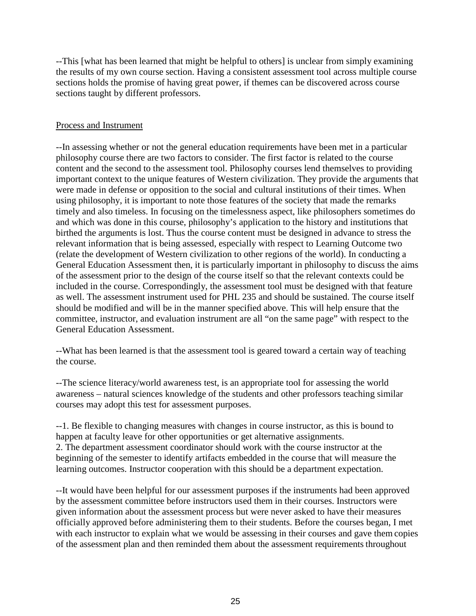--This [what has been learned that might be helpful to others] is unclear from simply examining the results of my own course section. Having a consistent assessment tool across multiple course sections holds the promise of having great power, if themes can be discovered across course sections taught by different professors.

### Process and Instrument

--In assessing whether or not the general education requirements have been met in a particular philosophy course there are two factors to consider. The first factor is related to the course content and the second to the assessment tool. Philosophy courses lend themselves to providing important context to the unique features of Western civilization. They provide the arguments that were made in defense or opposition to the social and cultural institutions of their times. When using philosophy, it is important to note those features of the society that made the remarks timely and also timeless. In focusing on the timelessness aspect, like philosophers sometimes do and which was done in this course, philosophy's application to the history and institutions that birthed the arguments is lost. Thus the course content must be designed in advance to stress the relevant information that is being assessed, especially with respect to Learning Outcome two (relate the development of Western civilization to other regions of the world). In conducting a General Education Assessment then, it is particularly important in philosophy to discuss the aims of the assessment prior to the design of the course itself so that the relevant contexts could be included in the course. Correspondingly, the assessment tool must be designed with that feature as well. The assessment instrument used for PHL 235 and should be sustained. The course itself should be modified and will be in the manner specified above. This will help ensure that the committee, instructor, and evaluation instrument are all "on the same page" with respect to the General Education Assessment.

--What has been learned is that the assessment tool is geared toward a certain way of teaching the course.

--The science literacy/world awareness test, is an appropriate tool for assessing the world awareness – natural sciences knowledge of the students and other professors teaching similar courses may adopt this test for assessment purposes.

--1. Be flexible to changing measures with changes in course instructor, as this is bound to happen at faculty leave for other opportunities or get alternative assignments. 2. The department assessment coordinator should work with the course instructor at the beginning of the semester to identify artifacts embedded in the course that will measure the learning outcomes. Instructor cooperation with this should be a department expectation.

--It would have been helpful for our assessment purposes if the instruments had been approved by the assessment committee before instructors used them in their courses. Instructors were given information about the assessment process but were never asked to have their measures officially approved before administering them to their students. Before the courses began, I met with each instructor to explain what we would be assessing in their courses and gave them copies of the assessment plan and then reminded them about the assessment requirements throughout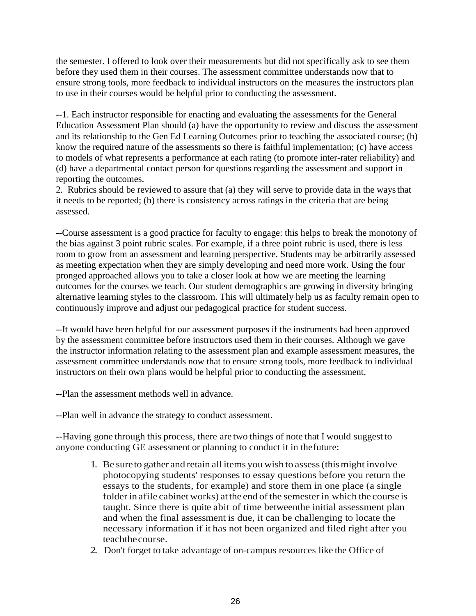the semester. I offered to look over their measurements but did not specifically ask to see them before they used them in their courses. The assessment committee understands now that to ensure strong tools, more feedback to individual instructors on the measures the instructors plan to use in their courses would be helpful prior to conducting the assessment.

--1. Each instructor responsible for enacting and evaluating the assessments for the General Education Assessment Plan should (a) have the opportunity to review and discuss the assessment and its relationship to the Gen Ed Learning Outcomes prior to teaching the associated course; (b) know the required nature of the assessments so there is faithful implementation; (c) have access to models of what represents a performance at each rating (to promote inter-rater reliability) and (d) have a departmental contact person for questions regarding the assessment and support in reporting the outcomes.

2. Rubrics should be reviewed to assure that (a) they will serve to provide data in the waysthat it needs to be reported; (b) there is consistency across ratings in the criteria that are being assessed.

--Course assessment is a good practice for faculty to engage: this helps to break the monotony of the bias against 3 point rubric scales. For example, if a three point rubric is used, there is less room to grow from an assessment and learning perspective. Students may be arbitrarily assessed as meeting expectation when they are simply developing and need more work. Using the four pronged approached allows you to take a closer look at how we are meeting the learning outcomes for the courses we teach. Our student demographics are growing in diversity bringing alternative learning styles to the classroom. This will ultimately help us as faculty remain open to continuously improve and adjust our pedagogical practice for student success.

--It would have been helpful for our assessment purposes if the instruments had been approved by the assessment committee before instructors used them in their courses. Although we gave the instructor information relating to the assessment plan and example assessment measures, the assessment committee understands now that to ensure strong tools, more feedback to individual instructors on their own plans would be helpful prior to conducting the assessment.

--Plan the assessment methods well in advance.

--Plan well in advance the strategy to conduct assessment.

--Having gone through this process, there are two things of note that I would suggest to anyone conducting GE assessment or planning to conduct it in thefuture:

- 1. Be sureto gather and retain all items you wish to assess(thismight involve photocopying students' responses to essay questions before you return the essays to the students, for example) and store them in one place (a single folder in afile cabinet works) at the end of the semester in which the course is taught. Since there is quite abit of time betweenthe initial assessment plan and when the final assessment is due, it can be challenging to locate the necessary information if it has not been organized and filed right after you teachthecourse.
- 2. Don't forget to take advantage of on-campus resources like the Office of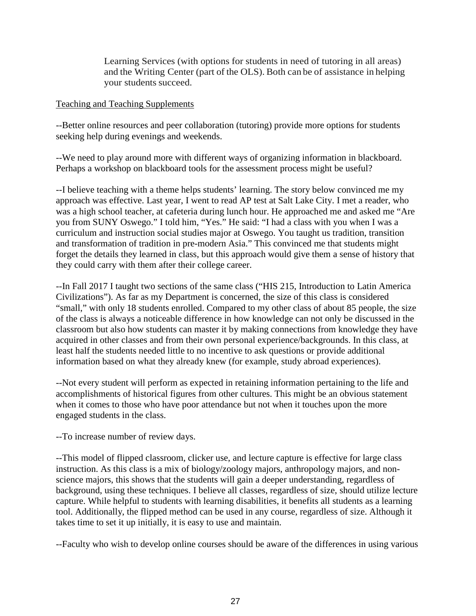Learning Services (with options for students in need of tutoring in all areas) and the Writing Center (part of the OLS). Both can be of assistance in helping your students succeed.

### Teaching and Teaching Supplements

--Better online resources and peer collaboration (tutoring) provide more options for students seeking help during evenings and weekends.

--We need to play around more with different ways of organizing information in blackboard. Perhaps a workshop on blackboard tools for the assessment process might be useful?

--I believe teaching with a theme helps students' learning. The story below convinced me my approach was effective. Last year, I went to read AP test at Salt Lake City. I met a reader, who was a high school teacher, at cafeteria during lunch hour. He approached me and asked me "Are you from SUNY Oswego." I told him, "Yes." He said: "I had a class with you when I was a curriculum and instruction social studies major at Oswego. You taught us tradition, transition and transformation of tradition in pre-modern Asia." This convinced me that students might forget the details they learned in class, but this approach would give them a sense of history that they could carry with them after their college career.

--In Fall 2017 I taught two sections of the same class ("HIS 215, Introduction to Latin America Civilizations"). As far as my Department is concerned, the size of this class is considered "small," with only 18 students enrolled. Compared to my other class of about 85 people, the size of the class is always a noticeable difference in how knowledge can not only be discussed in the classroom but also how students can master it by making connections from knowledge they have acquired in other classes and from their own personal experience/backgrounds. In this class, at least half the students needed little to no incentive to ask questions or provide additional information based on what they already knew (for example, study abroad experiences).

--Not every student will perform as expected in retaining information pertaining to the life and accomplishments of historical figures from other cultures. This might be an obvious statement when it comes to those who have poor attendance but not when it touches upon the more engaged students in the class.

--To increase number of review days.

--This model of flipped classroom, clicker use, and lecture capture is effective for large class instruction. As this class is a mix of biology/zoology majors, anthropology majors, and nonscience majors, this shows that the students will gain a deeper understanding, regardless of background, using these techniques. I believe all classes, regardless of size, should utilize lecture capture. While helpful to students with learning disabilities, it benefits all students as a learning tool. Additionally, the flipped method can be used in any course, regardless of size. Although it takes time to set it up initially, it is easy to use and maintain.

--Faculty who wish to develop online courses should be aware of the differences in using various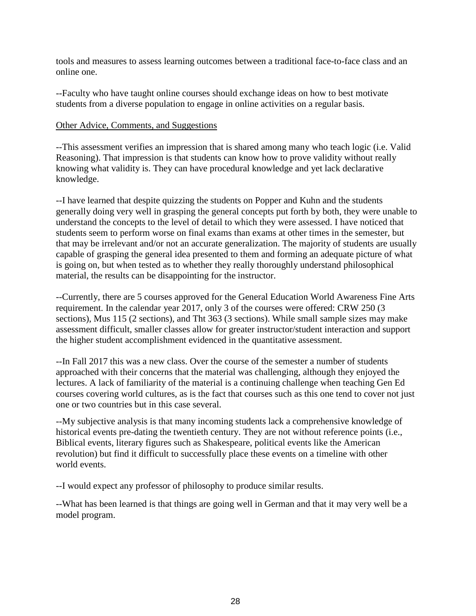tools and measures to assess learning outcomes between a traditional face-to-face class and an online one.

--Faculty who have taught online courses should exchange ideas on how to best motivate students from a diverse population to engage in online activities on a regular basis.

### Other Advice, Comments, and Suggestions

--This assessment verifies an impression that is shared among many who teach logic (i.e. Valid Reasoning). That impression is that students can know how to prove validity without really knowing what validity is. They can have procedural knowledge and yet lack declarative knowledge.

--I have learned that despite quizzing the students on Popper and Kuhn and the students generally doing very well in grasping the general concepts put forth by both, they were unable to understand the concepts to the level of detail to which they were assessed. I have noticed that students seem to perform worse on final exams than exams at other times in the semester, but that may be irrelevant and/or not an accurate generalization. The majority of students are usually capable of grasping the general idea presented to them and forming an adequate picture of what is going on, but when tested as to whether they really thoroughly understand philosophical material, the results can be disappointing for the instructor.

--Currently, there are 5 courses approved for the General Education World Awareness Fine Arts requirement. In the calendar year 2017, only 3 of the courses were offered: CRW 250 (3 sections), Mus 115 (2 sections), and Tht 363 (3 sections). While small sample sizes may make assessment difficult, smaller classes allow for greater instructor/student interaction and support the higher student accomplishment evidenced in the quantitative assessment.

--In Fall 2017 this was a new class. Over the course of the semester a number of students approached with their concerns that the material was challenging, although they enjoyed the lectures. A lack of familiarity of the material is a continuing challenge when teaching Gen Ed courses covering world cultures, as is the fact that courses such as this one tend to cover not just one or two countries but in this case several.

--My subjective analysis is that many incoming students lack a comprehensive knowledge of historical events pre-dating the twentieth century. They are not without reference points (i.e., Biblical events, literary figures such as Shakespeare, political events like the American revolution) but find it difficult to successfully place these events on a timeline with other world events.

--I would expect any professor of philosophy to produce similar results.

--What has been learned is that things are going well in German and that it may very well be a model program.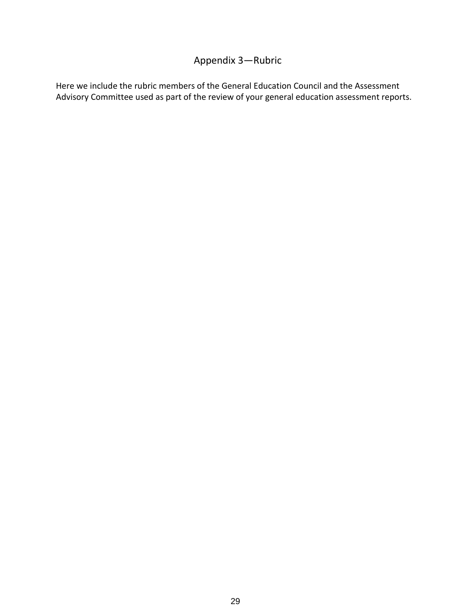## Appendix 3—Rubric

Here we include the rubric members of the General Education Council and the Assessment Advisory Committee used as part of the review of your general education assessment reports.